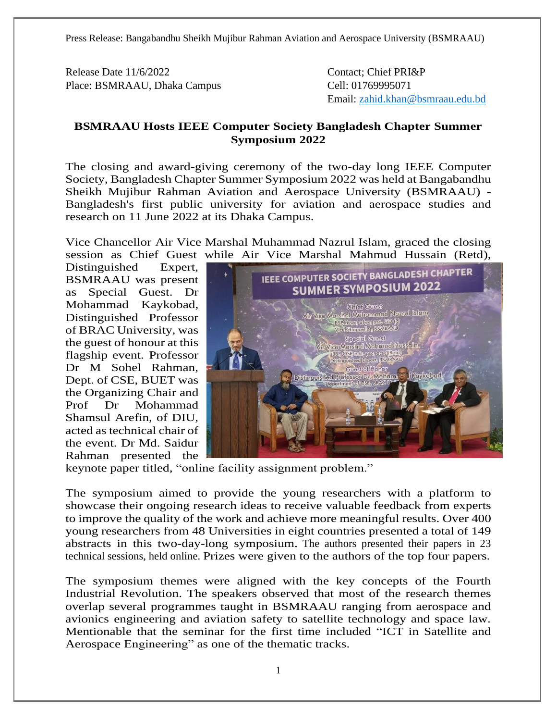Press Release: Bangabandhu Sheikh Mujibur Rahman Aviation and Aerospace University (BSMRAAU)

Release Date 11/6/2022 Contact; Chief PRI&P Place: BSMRAAU, Dhaka Campus Cell: 01769995071

Email: [zahid.khan@bsmraau.edu.bd](mailto:zahid.khan@bsmraau.edu.bd)

## **BSMRAAU Hosts IEEE Computer Society Bangladesh Chapter Summer Symposium 2022**

The closing and award-giving ceremony of the two-day long IEEE Computer Society, Bangladesh Chapter Summer Symposium 2022 was held at Bangabandhu Sheikh Mujibur Rahman Aviation and Aerospace University (BSMRAAU) - Bangladesh's first public university for aviation and aerospace studies and research on 11 June 2022 at its Dhaka Campus.

Vice Chancellor Air Vice Marshal Muhammad Nazrul Islam, graced the closing session as Chief Guest while Air Vice Marshal Mahmud Hussain (Retd),

Distinguished Expert, BSMRAAU was present as Special Guest. Dr Mohammad Kaykobad, Distinguished Professor of BRAC University, was the guest of honour at this flagship event. Professor Dr M Sohel Rahman, Dept. of CSE, BUET was the Organizing Chair and Prof Dr Mohammad Shamsul Arefin, of DIU, acted as technical chair of the event. Dr Md. Saidur Rahman presented the



keynote paper titled, "online facility assignment problem."

The symposium aimed to provide the young researchers with a platform to showcase their ongoing research ideas to receive valuable feedback from experts to improve the quality of the work and achieve more meaningful results. Over 400 young researchers from 48 Universities in eight countries presented a total of 149 abstracts in this two-day-long symposium. The authors presented their papers in 23 technical sessions, held online. Prizes were given to the authors of the top four papers.

The symposium themes were aligned with the key concepts of the Fourth Industrial Revolution. The speakers observed that most of the research themes overlap several programmes taught in BSMRAAU ranging from aerospace and avionics engineering and aviation safety to satellite technology and space law. Mentionable that the seminar for the first time included "ICT in Satellite and Aerospace Engineering" as one of the thematic tracks.